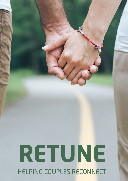# **RETUNE** HELPING COUPLES RECONNECT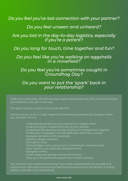# *Do you feel you've lost connection with your partner?*

# *Do you feel unseen and unheard?*

# *Are you lost in the day-to-day logistics, especially if you're a parent?*

# *Do you long for touch, time together and fun?*

# *Do you feel like you're walking on eggshells in a minefield?*

# *Do you feel you're sometimes caught in Groundhog Day?*

# *Do you want to put the 'spark' back in your relationship?*

Sadly, this is the reality of many loving couples who started out with so much promise, yet somehow LIFE got in the way.

The good news is it doesn't have to be like this!

Come and join us for a 2-day, insightful and healing workshop for couples, where you will learn how to:

- Understand yourself and your partner at a deeper level
- Understand your needs and those of your partner
- Understand the dynamics at play and how to change them, together
- Modify your language to be less defensive and more curious
- Navigate emotions with awareness
- Develop deeper empathy
- Strengthen trust
- Acknowledge when your partner is making an 'emotional bid'
- Have healthy and respectful disagreements
- Navigate conflict
- Create deep and lasting emotional intimacy
- Align your life goals and support each other's dreams

You will leave this workshop knowing how to take responsibility for yourself and relationship, with practical tools and learnings to ensure your connection is strong, healthy and able to be maintained.

### www.retune.life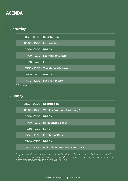# AGENDA

# **Saturday**

| $08:30 - 09:00$ | Registration                    |
|-----------------|---------------------------------|
| $09:00 - 10:30$ | Introduction                    |
| $10:30 - 11:00$ | <b>BREAK</b>                    |
| $11:00 - 12:30$ | Learning to Listen              |
| $12:30 - 13:30$ | <b>LUNCH</b>                    |
|                 | 13:30 - 15:00 The Masks We Wear |
| $15:00 - 15:30$ | <b>BREAK</b>                    |
| $15:30 - 17:00$ | <b>Fact Vs Fantasy</b>          |

*(Homework!)*

# Sunday

| $08:30 - 09:00$ | Registration                          |
|-----------------|---------------------------------------|
| $09:00 - 10:30$ | What is Emotional Intimacy?           |
| $10:30 - 11:00$ | <b>BREAK</b>                          |
|                 | 11:00 - 12:30 Relationship Loops      |
| $12:30 - 13:30$ | <b>LUNCH</b>                          |
| $13:30 - 15:00$ | <b>Emotional Bids</b>                 |
| $15:00 - 15:30$ | <b>BREAK</b>                          |
| $15:30 - 17:00$ | <b>Maintaining Emotional Intimacy</b> |

*(Light refreshments such as tea and coffee will be provided before the event commences, as well as morning and afternoon tea. Lunch can be purchased at near-by cafés or you can bring your own.)*